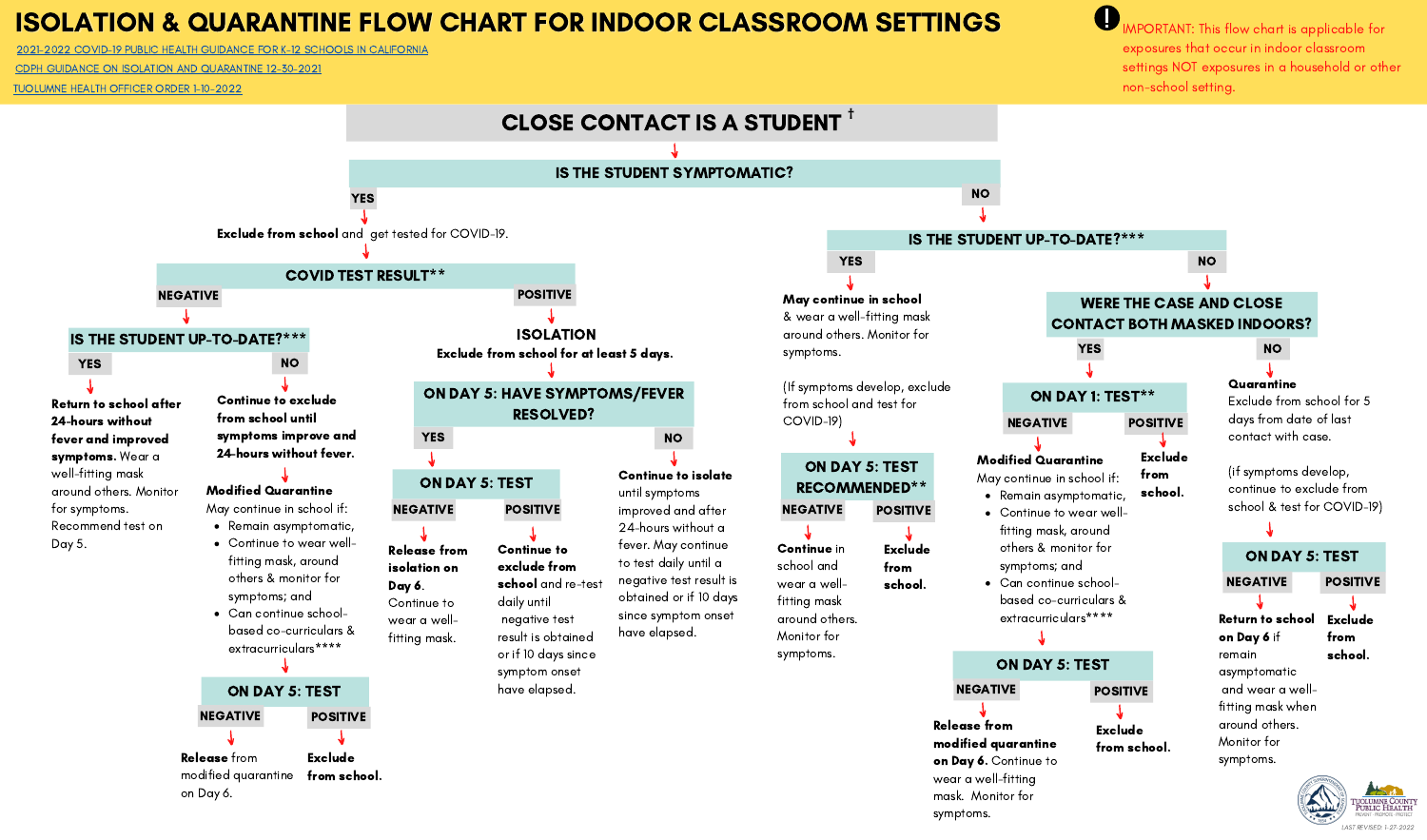# ISOLATION & QUARANTINE FLOW CHART FOR INDOOR CLASSROOM SETTINGS

2021-2022 COVID-19 PUBLIC HEALTH GUIDANCE FOR K-12 SCHOOLS IN [CALIFORNIA](https://www.cdph.ca.gov/Programs/CID/DCDC/Pages/COVID-19/K-12-Guidance-2021-22-School-Year.aspx)

CDPH GUIDANCE ON ISOLATION AND [QUARANTINE](https://www.cdph.ca.gov/Programs/CID/DCDC/Pages/COVID-19/Guidance-on-Isolation-and-Quarantine-for-COVID-19-Contact-Tracing.aspx) 12-30-2021

O IMPORTANT: This flow chart is applicable for exposures that occur in indoor classroom settings NOT exposures in a household or other non-school setting.



[TUOLUMNE](https://www.tuolumnecounty.ca.gov/DocumentCenter/View/20112/Isolation-and-Quarantine-HO-Order-1102022?bidId=) HEALTH OFFICER ORDER 1-10-2022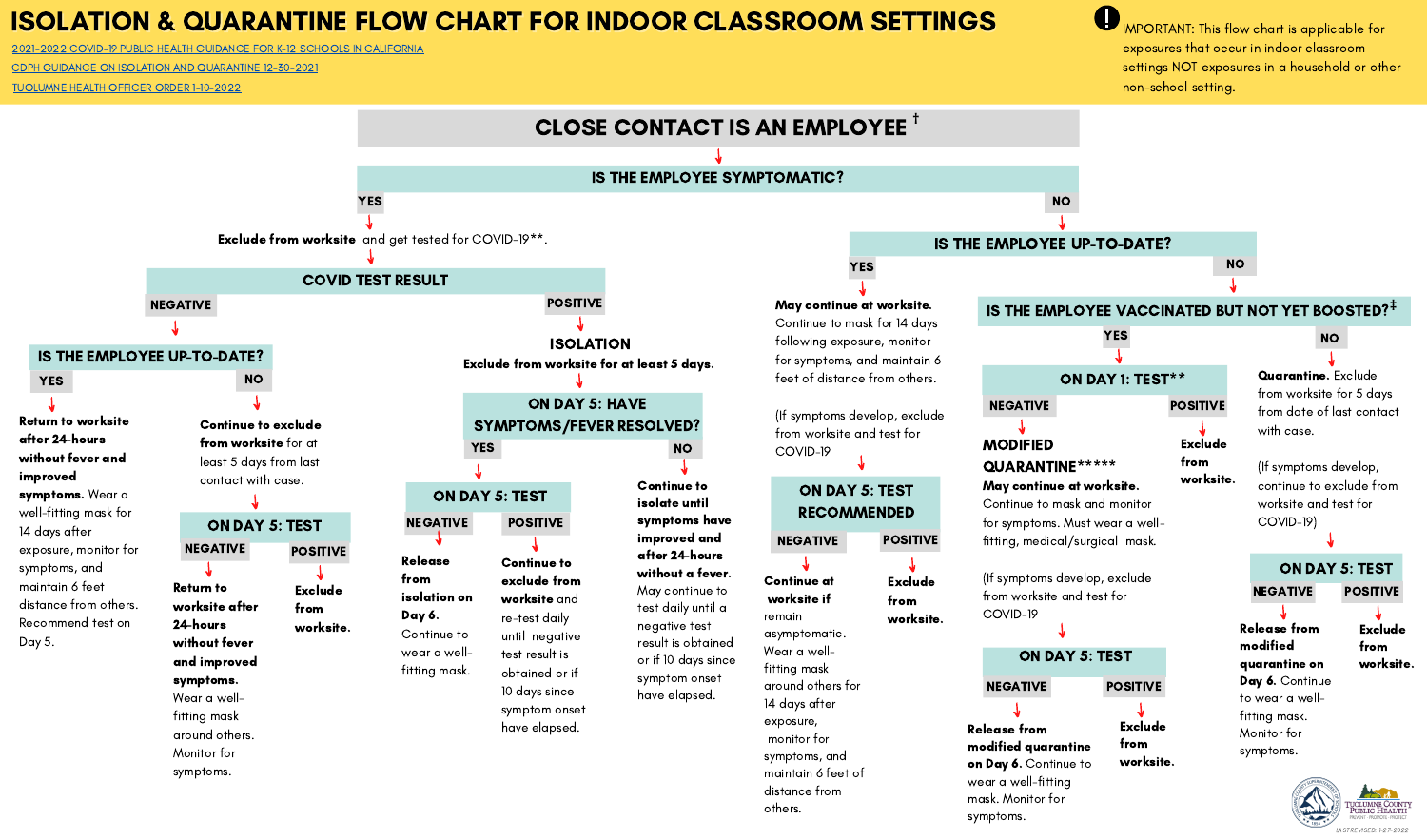## ISOLATION & QUARANTINE FLOW CHART FOR INDOOR CLASSROOM SETTINGS

21-2022 COVID-19 PUBLIC HEALTH GUIDANCE FOR K-12 SCHOOLS IN [CALIFORNIA](https://www.cdph.ca.gov/Programs/CID/DCDC/Pages/COVID-19/K-12-Guidance-2021-22-School-Year.aspx)

CDPH GUIDANCE ON ISOLATION AND [QUARANTINE](https://www.cdph.ca.gov/Programs/CID/DCDC/Pages/COVID-19/Guidance-on-Isolation-and-Quarantine-for-COVID-19-Contact-Tracing.aspx) 12-30-2021



 $\mathbf 0$ IMPORTANT: This flow chart is applicable for exposures that occur in indoor classroom settings NOT exposures in a household or other non-school setting.

[TUOLUMNE](https://www.tuolumnecounty.ca.gov/DocumentCenter/View/20112/Isolation-and-Quarantine-HO-Order-1102022?bidId=) HEALTH OFFICER ORDER 1-10-2022